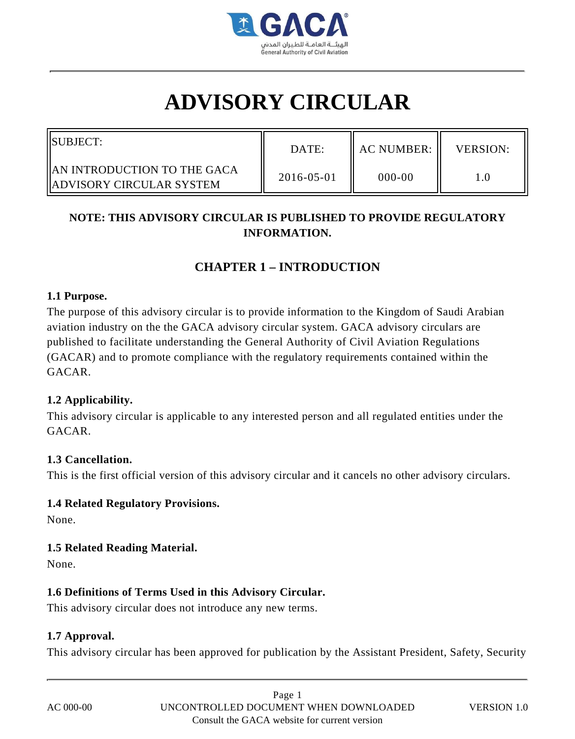

# **ADVISORY CIRCULAR**

| <b>ISUBJECT:</b>                                                        | DATE:      | <b>AC NUMBER:</b> | VERSION: |
|-------------------------------------------------------------------------|------------|-------------------|----------|
| <b>JAN INTRODUCTION TO THE GACA</b><br><b>IADVISORY CIRCULAR SYSTEM</b> | 2016-05-01 | 000-00            |          |

### **NOTE: THIS ADVISORY CIRCULAR IS PUBLISHED TO PROVIDE REGULATORY INFORMATION.**

## **CHAPTER 1 – INTRODUCTION**

#### **1.1 Purpose.**

The purpose of this advisory circular is to provide information to the Kingdom of Saudi Arabian aviation industry on the the GACA advisory circular system. GACA advisory circulars are published to facilitate understanding the General Authority of Civil Aviation Regulations (GACAR) and to promote compliance with the regulatory requirements contained within the GACAR.

#### **1.2 Applicability.**

This advisory circular is applicable to any interested person and all regulated entities under the GACAR.

#### **1.3 Cancellation.**

This is the first official version of this advisory circular and it cancels no other advisory circulars.

#### **1.4 Related Regulatory Provisions.**

None.

#### **1.5 Related Reading Material.**

None.

#### **1.6 Definitions of Terms Used in this Advisory Circular.**

This advisory circular does not introduce any new terms.

#### **1.7 Approval.**

This advisory circular has been approved for publication by the Assistant President, Safety, Security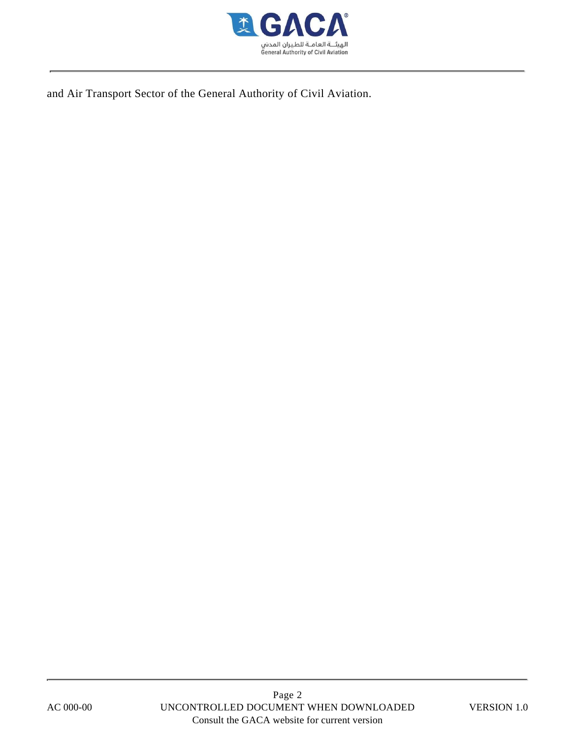

and Air Transport Sector of the General Authority of Civil Aviation.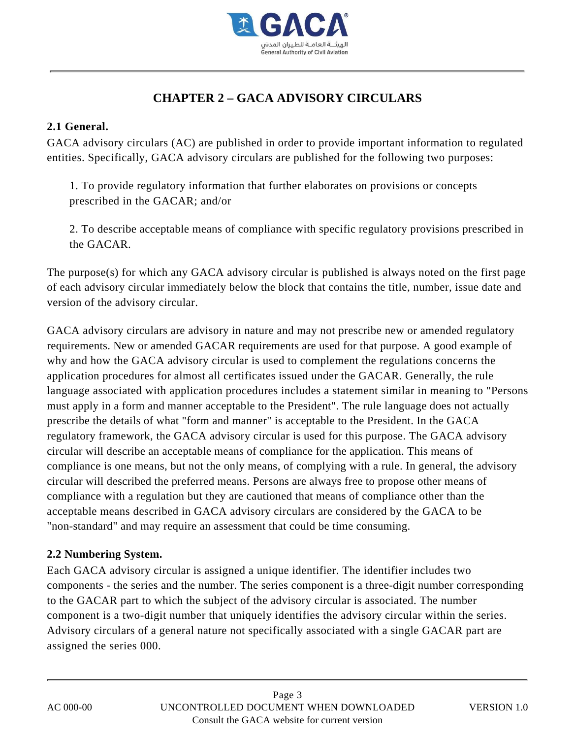

## **CHAPTER 2 – GACA ADVISORY CIRCULARS**

#### **2.1 General.**

GACA advisory circulars (AC) are published in order to provide important information to regulated entities. Specifically, GACA advisory circulars are published for the following two purposes:

1. To provide regulatory information that further elaborates on provisions or concepts prescribed in the GACAR; and/or

2. To describe acceptable means of compliance with specific regulatory provisions prescribed in the GACAR.

The purpose(s) for which any GACA advisory circular is published is always noted on the first page of each advisory circular immediately below the block that contains the title, number, issue date and version of the advisory circular.

GACA advisory circulars are advisory in nature and may not prescribe new or amended regulatory requirements. New or amended GACAR requirements are used for that purpose. A good example of why and how the GACA advisory circular is used to complement the regulations concerns the application procedures for almost all certificates issued under the GACAR. Generally, the rule language associated with application procedures includes a statement similar in meaning to "Persons must apply in a form and manner acceptable to the President". The rule language does not actually prescribe the details of what "form and manner" is acceptable to the President. In the GACA regulatory framework, the GACA advisory circular is used for this purpose. The GACA advisory circular will describe an acceptable means of compliance for the application. This means of compliance is one means, but not the only means, of complying with a rule. In general, the advisory circular will described the preferred means. Persons are always free to propose other means of compliance with a regulation but they are cautioned that means of compliance other than the acceptable means described in GACA advisory circulars are considered by the GACA to be "non-standard" and may require an assessment that could be time consuming.

#### **2.2 Numbering System.**

Each GACA advisory circular is assigned a unique identifier. The identifier includes two components - the series and the number. The series component is a three-digit number corresponding to the GACAR part to which the subject of the advisory circular is associated. The number component is a two-digit number that uniquely identifies the advisory circular within the series. Advisory circulars of a general nature not specifically associated with a single GACAR part are assigned the series 000.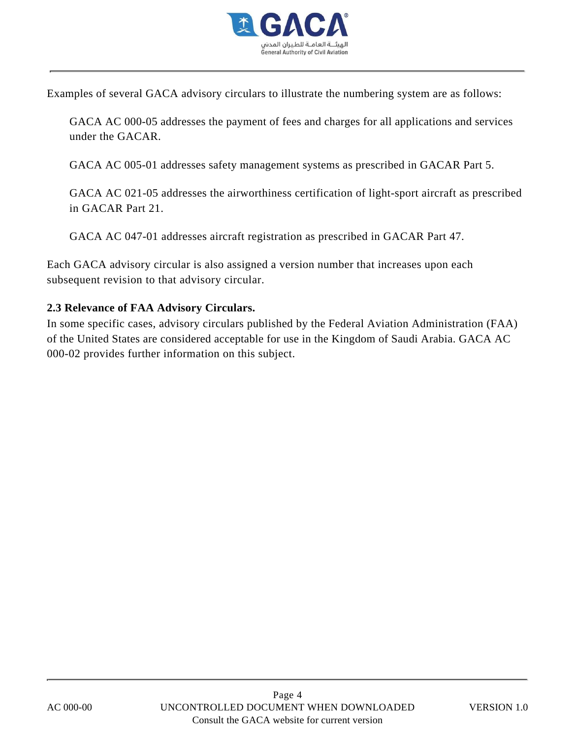

Examples of several GACA advisory circulars to illustrate the numbering system are as follows:

GACA AC 000-05 addresses the payment of fees and charges for all applications and services under the GACAR.

GACA AC 005-01 addresses safety management systems as prescribed in GACAR Part 5.

GACA AC 021-05 addresses the airworthiness certification of light-sport aircraft as prescribed in GACAR Part 21.

GACA AC 047-01 addresses aircraft registration as prescribed in GACAR Part 47.

Each GACA advisory circular is also assigned a version number that increases upon each subsequent revision to that advisory circular.

#### **2.3 Relevance of FAA Advisory Circulars.**

In some specific cases, advisory circulars published by the Federal Aviation Administration (FAA) of the United States are considered acceptable for use in the Kingdom of Saudi Arabia. GACA AC 000-02 provides further information on this subject.